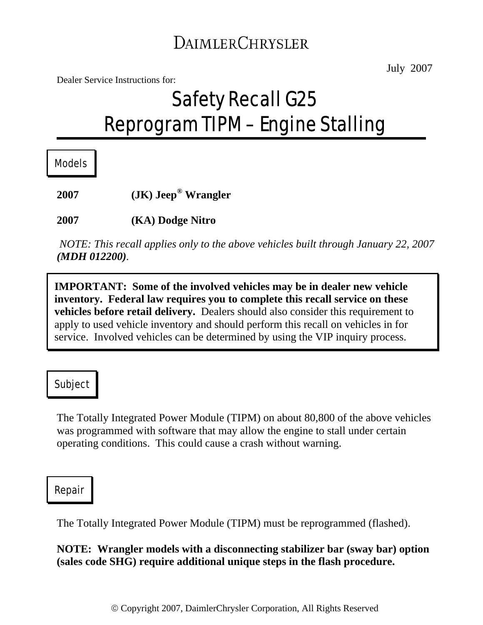# DAIMLERCHRYSLER

Dealer Service Instructions for:

# Safety Recall G25 Reprogram TIPM – Engine Stalling

Models

**2007 (JK) Jeep® Wrangler** 

**2007 (KA) Dodge Nitro** 

*NOTE: This recall applies only to the above vehicles built through January 22, 2007 (MDH 012200).*

**IMPORTANT: Some of the involved vehicles may be in dealer new vehicle inventory. Federal law requires you to complete this recall service on these vehicles before retail delivery.** Dealers should also consider this requirement to apply to used vehicle inventory and should perform this recall on vehicles in for service. Involved vehicles can be determined by using the VIP inquiry process.

#### Subject

The Totally Integrated Power Module (TIPM) on about 80,800 of the above vehicles was programmed with software that may allow the engine to stall under certain operating conditions. This could cause a crash without warning.

#### Repair

The Totally Integrated Power Module (TIPM) must be reprogrammed (flashed).

**NOTE: Wrangler models with a disconnecting stabilizer bar (sway bar) option (sales code SHG) require additional unique steps in the flash procedure.**

July 2007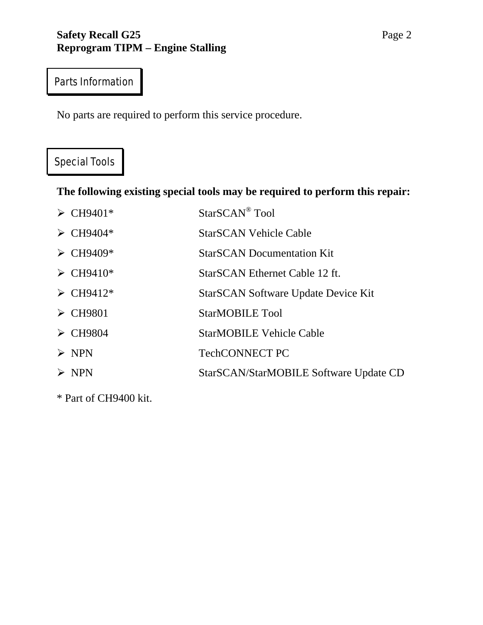#### **Safety Recall G25** Page 2 **Reprogram TIPM – Engine Stalling**

# Parts Information

No parts are required to perform this service procedure.

## Special Tools

**The following existing special tools may be required to perform this repair:** 

| $\triangleright$ CH9401*             | StarSCAN <sup>®</sup> Tool                 |
|--------------------------------------|--------------------------------------------|
| $\triangleright$ CH9404*             | <b>StarSCAN Vehicle Cable</b>              |
| $\triangleright$ CH9409*             | <b>StarSCAN Documentation Kit</b>          |
| $\triangleright$ CH9410*             | StarSCAN Ethernet Cable 12 ft.             |
| $\triangleright$ CH9412 <sup>*</sup> | <b>StarSCAN Software Update Device Kit</b> |
| $\triangleright$ CH9801              | <b>StarMOBILE Tool</b>                     |
| $\triangleright$ CH9804              | <b>StarMOBILE Vehicle Cable</b>            |
| $\triangleright$ NPN                 | <b>TechCONNECT PC</b>                      |
| $>$ NPN                              | StarSCAN/StarMOBILE Software Update CD     |
|                                      |                                            |

\* Part of CH9400 kit.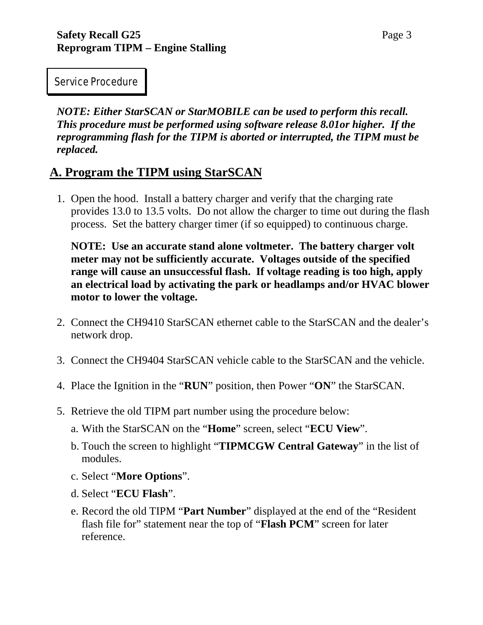Service Procedure

*NOTE: Either StarSCAN or StarMOBILE can be used to perform this recall. This procedure must be performed using software release 8.01or higher. If the reprogramming flash for the TIPM is aborted or interrupted, the TIPM must be replaced.* 

### **A. Program the TIPM using StarSCAN**

1. Open the hood. Install a battery charger and verify that the charging rate provides 13.0 to 13.5 volts. Do not allow the charger to time out during the flash process. Set the battery charger timer (if so equipped) to continuous charge.

**NOTE: Use an accurate stand alone voltmeter. The battery charger volt meter may not be sufficiently accurate. Voltages outside of the specified range will cause an unsuccessful flash. If voltage reading is too high, apply an electrical load by activating the park or headlamps and/or HVAC blower motor to lower the voltage.** 

- 2. Connect the CH9410 StarSCAN ethernet cable to the StarSCAN and the dealer's network drop.
- 3. Connect the CH9404 StarSCAN vehicle cable to the StarSCAN and the vehicle.
- 4. Place the Ignition in the "**RUN**" position, then Power "**ON**" the StarSCAN.
- 5. Retrieve the old TIPM part number using the procedure below:
	- a. With the StarSCAN on the "**Home**" screen, select "**ECU View**".
	- b. Touch the screen to highlight "**TIPMCGW Central Gateway**" in the list of modules.
	- c. Select "**More Options**".
	- d. Select "**ECU Flash**".
	- e. Record the old TIPM "**Part Number**" displayed at the end of the "Resident flash file for" statement near the top of "**Flash PCM**" screen for later reference.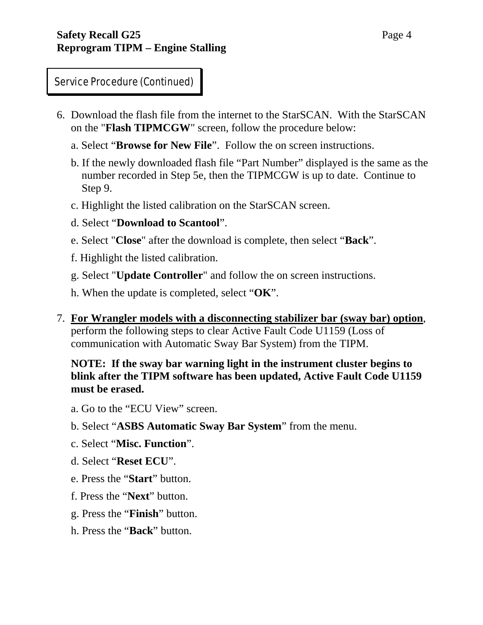- 6. Download the flash file from the internet to the StarSCAN. With the StarSCAN on the "**Flash TIPMCGW**" screen, follow the procedure below:
	- a. Select "**Browse for New File**". Follow the on screen instructions.
	- b. If the newly downloaded flash file "Part Number" displayed is the same as the number recorded in Step 5e, then the TIPMCGW is up to date. Continue to Step 9.
	- c. Highlight the listed calibration on the StarSCAN screen.
	- d. Select "**Download to Scantool**".
	- e. Select "**Close**" after the download is complete, then select "**Back**".
	- f. Highlight the listed calibration.
	- g. Select "**Update Controller**" and follow the on screen instructions.
	- h. When the update is completed, select "**OK**".
- 7. **For Wrangler models with a disconnecting stabilizer bar (sway bar) option**, perform the following steps to clear Active Fault Code U1159 (Loss of communication with Automatic Sway Bar System) from the TIPM.

#### **NOTE: If the sway bar warning light in the instrument cluster begins to blink after the TIPM software has been updated, Active Fault Code U1159 must be erased.**

- a. Go to the "ECU View" screen.
- b. Select "**ASBS Automatic Sway Bar System**" from the menu.
- c. Select "**Misc. Function**".
- d. Select "**Reset ECU**".
- e. Press the "**Start**" button.
- f. Press the "**Next**" button.
- g. Press the "**Finish**" button.
- h. Press the "**Back**" button.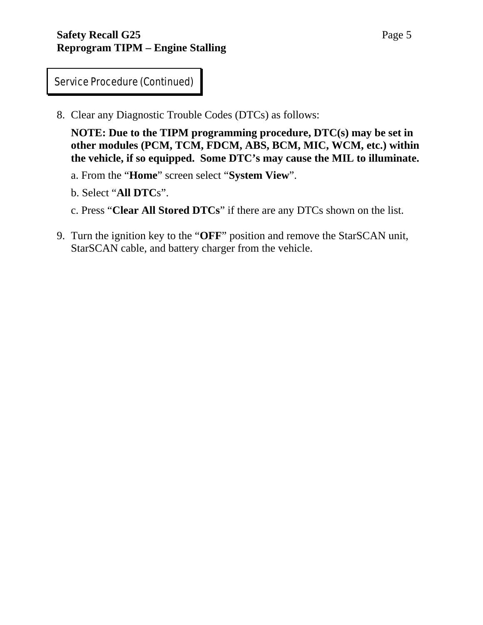8. Clear any Diagnostic Trouble Codes (DTCs) as follows:

**NOTE: Due to the TIPM programming procedure, DTC(s) may be set in other modules (PCM, TCM, FDCM, ABS, BCM, MIC, WCM, etc.) within the vehicle, if so equipped. Some DTC's may cause the MIL to illuminate.**

a. From the "**Home**" screen select "**System View**".

b. Select "**All DTC**s".

c. Press "**Clear All Stored DTCs**" if there are any DTCs shown on the list.

9. Turn the ignition key to the "**OFF**" position and remove the StarSCAN unit, StarSCAN cable, and battery charger from the vehicle.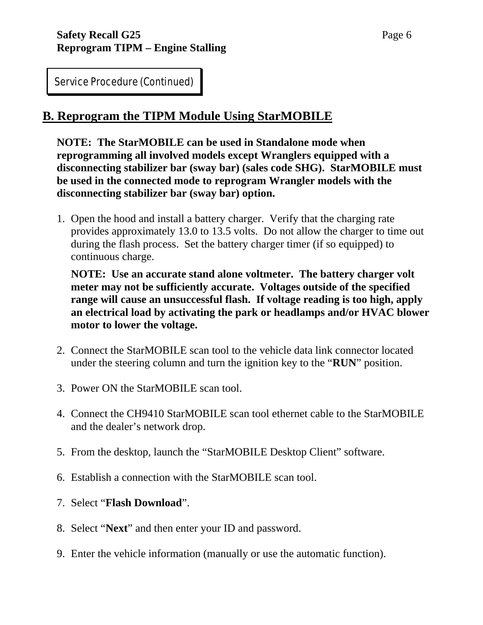#### **B. Reprogram the TIPM Module Using StarMOBILE**

**NOTE: The StarMOBILE can be used in Standalone mode when reprogramming all involved models except Wranglers equipped with a disconnecting stabilizer bar (sway bar) (sales code SHG). StarMOBILE must be used in the connected mode to reprogram Wrangler models with the disconnecting stabilizer bar (sway bar) option.** 

1. Open the hood and install a battery charger. Verify that the charging rate provides approximately 13.0 to 13.5 volts. Do not allow the charger to time out during the flash process. Set the battery charger timer (if so equipped) to continuous charge.

**NOTE: Use an accurate stand alone voltmeter. The battery charger volt meter may not be sufficiently accurate. Voltages outside of the specified range will cause an unsuccessful flash. If voltage reading is too high, apply an electrical load by activating the park or headlamps and/or HVAC blower motor to lower the voltage.** 

- 2. Connect the StarMOBILE scan tool to the vehicle data link connector located under the steering column and turn the ignition key to the "**RUN**" position.
- 3. Power ON the StarMOBILE scan tool.
- 4. Connect the CH9410 StarMOBILE scan tool ethernet cable to the StarMOBILE and the dealer's network drop.
- 5. From the desktop, launch the "StarMOBILE Desktop Client" software.
- 6. Establish a connection with the StarMOBILE scan tool.
- 7. Select "**Flash Download**".
- 8. Select "**Next**" and then enter your ID and password.
- 9. Enter the vehicle information (manually or use the automatic function).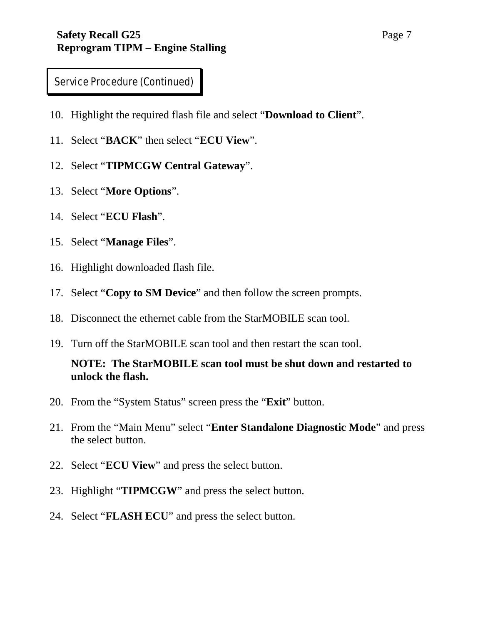- 10. Highlight the required flash file and select "**Download to Client**".
- 11. Select "**BACK**" then select "**ECU View**".
- 12. Select "**TIPMCGW Central Gateway**".
- 13. Select "**More Options**".
- 14. Select "**ECU Flash**".
- 15. Select "**Manage Files**".
- 16. Highlight downloaded flash file.
- 17. Select "**Copy to SM Device**" and then follow the screen prompts.
- 18. Disconnect the ethernet cable from the StarMOBILE scan tool.
- 19. Turn off the StarMOBILE scan tool and then restart the scan tool.

#### **NOTE: The StarMOBILE scan tool must be shut down and restarted to unlock the flash.**

- 20. From the "System Status" screen press the "**Exit**" button.
- 21. From the "Main Menu" select "**Enter Standalone Diagnostic Mode**" and press the select button.
- 22. Select "**ECU View**" and press the select button.
- 23. Highlight "**TIPMCGW**" and press the select button.
- 24. Select "**FLASH ECU**" and press the select button.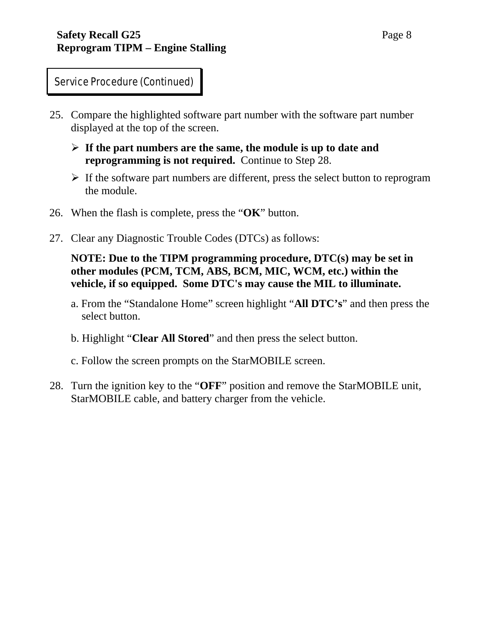- 25. Compare the highlighted software part number with the software part number displayed at the top of the screen.
	- ¾ **If the part numbers are the same, the module is up to date and reprogramming is not required.** Continue to Step 28.
	- $\triangleright$  If the software part numbers are different, press the select button to reprogram the module.
- 26. When the flash is complete, press the "**OK**" button.
- 27. Clear any Diagnostic Trouble Codes (DTCs) as follows:

#### **NOTE: Due to the TIPM programming procedure, DTC(s) may be set in other modules (PCM, TCM, ABS, BCM, MIC, WCM, etc.) within the vehicle, if so equipped. Some DTC's may cause the MIL to illuminate.**

- a. From the "Standalone Home" screen highlight "**All DTC's**" and then press the select button.
- b. Highlight "**Clear All Stored**" and then press the select button.
- c. Follow the screen prompts on the StarMOBILE screen.
- 28. Turn the ignition key to the "**OFF**" position and remove the StarMOBILE unit, StarMOBILE cable, and battery charger from the vehicle.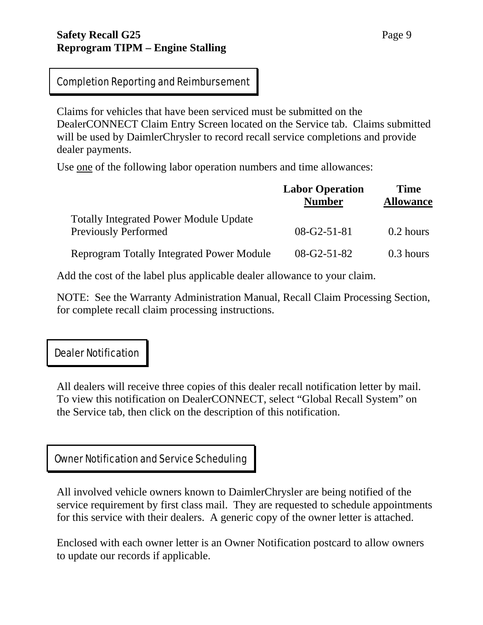#### **Safety Recall G25** Page 9 **Reprogram TIPM – Engine Stalling**

#### Completion Reporting and Reimbursement

Claims for vehicles that have been serviced must be submitted on the DealerCONNECT Claim Entry Screen located on the Service tab. Claims submitted will be used by DaimlerChrysler to record recall service completions and provide dealer payments.

Use one of the following labor operation numbers and time allowances:

|                                                                              | <b>Labor Operation</b><br><b>Number</b> | <b>Time</b><br><b>Allowance</b> |
|------------------------------------------------------------------------------|-----------------------------------------|---------------------------------|
| <b>Totally Integrated Power Module Update</b><br><b>Previously Performed</b> | $08-G2-51-81$                           | $0.2$ hours                     |
| <b>Reprogram Totally Integrated Power Module</b>                             | $08-G2-51-82$                           | $0.3$ hours                     |

Add the cost of the label plus applicable dealer allowance to your claim.

NOTE: See the Warranty Administration Manual, Recall Claim Processing Section, for complete recall claim processing instructions.

#### Dealer Notification

All dealers will receive three copies of this dealer recall notification letter by mail. To view this notification on DealerCONNECT, select "Global Recall System" on the Service tab, then click on the description of this notification.

#### Owner Notification and Service Scheduling

All involved vehicle owners known to DaimlerChrysler are being notified of the service requirement by first class mail. They are requested to schedule appointments for this service with their dealers. A generic copy of the owner letter is attached.

Enclosed with each owner letter is an Owner Notification postcard to allow owners to update our records if applicable.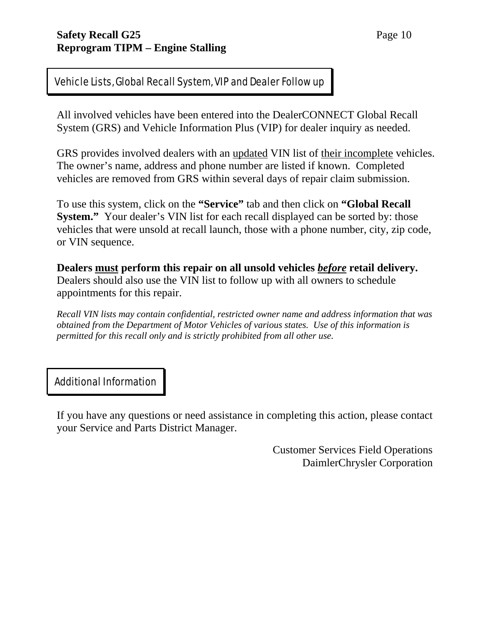#### Vehicle Lists, Global Recall System, VIP and Dealer Follow up

All involved vehicles have been entered into the DealerCONNECT Global Recall System (GRS) and Vehicle Information Plus (VIP) for dealer inquiry as needed.

GRS provides involved dealers with an updated VIN list of their incomplete vehicles. The owner's name, address and phone number are listed if known. Completed vehicles are removed from GRS within several days of repair claim submission.

To use this system, click on the **"Service"** tab and then click on **"Global Recall System."** Your dealer's VIN list for each recall displayed can be sorted by: those vehicles that were unsold at recall launch, those with a phone number, city, zip code, or VIN sequence.

**Dealers must perform this repair on all unsold vehicles** *before* **retail delivery.**  Dealers should also use the VIN list to follow up with all owners to schedule appointments for this repair.

*Recall VIN lists may contain confidential, restricted owner name and address information that was obtained from the Department of Motor Vehicles of various states. Use of this information is permitted for this recall only and is strictly prohibited from all other use.* 

#### Additional Information

If you have any questions or need assistance in completing this action, please contact your Service and Parts District Manager.

> Customer Services Field Operations DaimlerChrysler Corporation